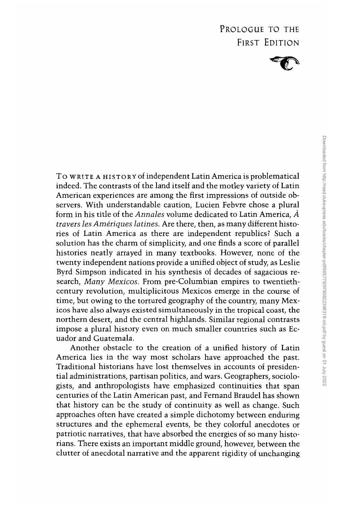## PROLOGUE TO THE FIRST EDITION



TO WRITE A HISTORY of independent Latin America is problematical indeed. The contrasts of the land itself and the motley variety of Latin American experiences are among the first impressions of outside observers. With understandable caution, Lucien Febvre chose a plural form in his title of the *Annales* volume dedicated to Latin America, *A travers les Ameriques latines.* Are there, then, as many different histories of Latin America as there are independent republics? Such a solution has the charm of simplicity, and one finds a score of parallel histories neatly arrayed in many textbooks. However, none of the twenty independent nations provide a unified object of study, as Leslie Byrd Simpson indicated in his synthesis of decades of sagacious research, *Many Mexicos.* From pre-Columbian empires to twentiethcentury revolution, multiplicitous Mexicos emerge in the course of time, but owing to the tortured geography of the country, many Mexicos have also always existed simultaneously in the tropical coast, the northern desert, and the central highlands. Similar regional contrasts impose a plural history even on much smaller countries such as Ecuador and Guatemala.

Another obstacle to the creation of a unified history of Latin America lies in the way most scholars have approached the past. Traditional historians have lost themselves in accounts of presidential administrations, partisan politics, and wars. Geographers, sociologists, and anthropologists have emphasized continuities that span centuries of the Latin American past, and Fernand Braudel has shown that history can be the study of continuity as well as change. Such approaches often have created a simple dichotomy between enduring structures and the ephemeral events, be they colorful anecdotes or patriotic narratives, that have absorbed the energies of so many historians. There exists an important middle ground, however, between the clutter of anecdotal narrative and the apparent rigidity of unchanging